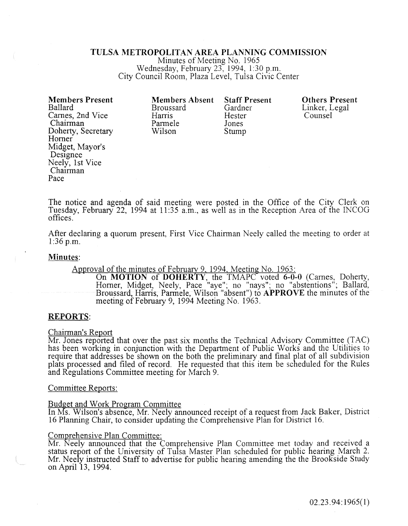### TULSA METROPOLITAN AREA PLANNING COMMISSION

Minutes of Meeting No. 1965 Wednesday, February 23, 1994, 1:30 p.m. City Council Room, Plaza Level, Tulsa Civic Center

Members Present Ballard Carnes, 2nd Vice Chairman Doherty, Secretary Homer Midget, Mayor's Designee Neely, 1st Vice Chairman Pace

Members Absent Broussard Harris Parmele Wilson

Staff Present Gardner Hester Jones Stump

Others Present Linker, Legal Counsel

The notice and agenda of said meeting were posted in the Office of the City Clerk on Tuesday, February 22, 1994 at 11:35 a.m., as well as in the Reception Area of the INCOG offices.

After declaring a quorum present, First Vice Chairman Neely called the meeting to order at  $1:36$  p.m.

### Minutes:

Approval of the minutes of February 9, 1994, Meeting No. 1963:

On MOTION of DOHERTY, the TMAPC voted 6-0-0 (Cames, Dohetiy, Homer, Midget, Neely, Pace "aye"; no "nays"; no "abstentions"; Ballard, Broussard, Harris, Parmele, Wilson "absent") to APPROVE the minutes of the meeting of February 9, 1994 Meeting No. 1963.

### REPORTS:

### Chairman's Report

Mr. Jones reported that over the past six months the Technical Advisory Committee (TAC) has been working in conjunction with the Department of Public Works and the Utilities to require that addresses be shown on the both the preliminary and final plat of all subdivision plats processed and filed of record. He requested that this item be scheduled for the Rules and Regulations Committee meeting for March 9.

### Committee Reports:

### Budget and Work Program Committee

In Ms. Wilson's absence, Mr. Neely announced receipt of a request from Jack Baker, District 16 Planning Chair, to consider updating the Comprehensive Plan for District 16.

### Comprehensive Plan Committee:

Mr. Neely announced that the Comprehensive Plan Committee met todav and received a status report of the University of Tulsa Master Plan scheduled for public hearing March 2. Mr. Neely instructed Staff to advertise for public hearing amending the the Brookside Study on April 13, 1994.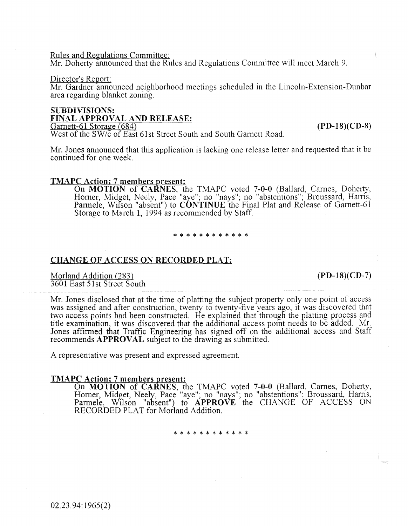### Rules and Regulations Committee:

Mr. Doherty announced that the Rules and Regulations Committee will meet March 9.

### Director's Report:

Mr. Gardner announced neighborhood meetings scheduled in the Lincoln-Extension-Dunbar area regarding blanket zoning.

### SUBDIVISIONS: FINAL APPROVAL AND RELEASE:

Garnett-61 Storage (684) West of the SW/c of East 61st Street South and South Garnett Road.

Mr. Jones announced that this application is lacking one release letter and requested that it be continued for one week.

### TMAPC Action; 7 members present:

On MOTION of CARNES, the TMAPC voted 7-0-0 (Ballard, Carnes, Doherty, Horner, Midget, Neely, Pace "aye"; no "nays"; no "abstentions"; Broussard, Harris,<br>Parmele, Wilson "absent") to CONTINUE the Final Plat and Release of Garnett-61<br>Storage to March 1, 1994 as recommended by Staff.

### \* \* \* \* \* \* \* \* \* \* \* \*

### CHANGE OF ACCESS ON RECORDED PLAT:

Morland Addition (283) 3601 East 51st Street South

Mr. Jones disclosed that at the time of platting the subject property only one point of access was assigned and after construction, twenty to twenty-five years ago, it was discovered that *two* access points had been constructed. He explained that through the platting process and title examination, it was discovered that the additional access point needs to be added. Mr. Jones affirmed that Traffic Engineering has signed off on the additional access and Staff recommends APPROVAL subject to the drawing as submitted.

A representative was present and expressed agreement.

### TMAPC Action; 7 members present:

On MOTION of CARNES, the TMAPC voted 7-0-0 (Ballard, Carnes, Dohetiy, Horner, Midget, Neely, Pace "aye"; no "nays"; no "abstentions"; Broussard, Harris, Parmele, Wilson "absent") to APPROVE the CHANGE OF ACCESS ON RECORDED PLAT for Morland Addition.

\* \* \* \* \* \* \* \* \* \* \* \*

02.23.94: 1965(2)

(PD-18)(CD-7)

(PD-18)(CD-8)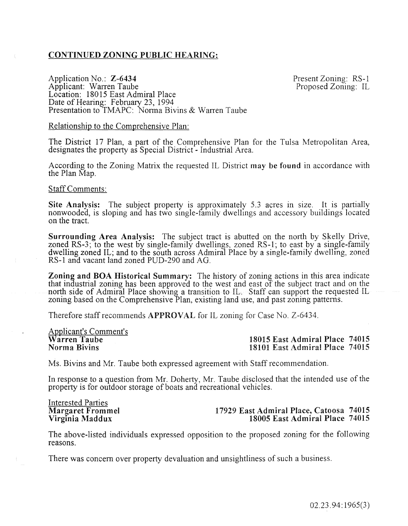### CONTINUED ZONING PUBLIC HEARING:

Present Zoning: RS-1 Proposed Zoning: IL

Application No.: Z-6434 Applicant: Warren Taube Location: 18015 East Admiral Place Date of Hearing: February 23, 1994 Presentation to TMAPC: Norma Bivins & Warren Taube

### Relationship to the Comprehensive Plan:

The District 17 Plan, a part of the Comprehensive Plan for the Tulsa Metropolitan Area, designates the property as Special District- Industrial Area.

According to the Zoning Matrix the requested IL District may be found in accordance with the Plan Map.

### Staff Comments:

Site Analysis: The subject property is approximately 5.3 acres in size. It is partially nonwooded, is sloping and has two single-family dwellings and accessory buildings located on the tract.

Surrounding Area Analysis: The subject tract is abutted on the north by Skelly Drive, zoned RS-3; to the west by single-family dwellings, zoned RS-1; to east by a single-family dwelling zoned IL; and to the south across Admiral Place by a single-family dwelling, zoned RS-1 and vacant land zoned PUD-290 and AG.

**Zoning and BOA Historical Summary:** The history of zoning actions in this area indicate that industrial zoning has been approved to the west and east of the subject tract and on the north side of Admiral Place showmg a transition to IL. Staff can support the requested IL zoning based on the Comprehensive Plan, existing land use, and past zoning patterns.

Therefore staff recommends APPROVAL for IL zoning for Case No. Z-6434.

Applicant's Comment's Warren Taube Norma Bivins

18015 East Admiral Place 74015 18101 East Admiral Place 74015

Ms. Bivins and Mr. Taube both expressed agreement with Staff recommendation.

In response to a question from Mr. Doherty, Mr. Taube disclosed that the intended use of the property is for outdoor storage of boats and recreational vehicles.

Interested Parties Margaret Frommel Virginia Maddux

17929 East Admiral Place, Catoosa 74015 18005 East Admiral Place 74015

The above-listed individuals expressed opposition to the proposed zoning for the following reasons.

There was concern over property devaluation and unsightliness of such a business.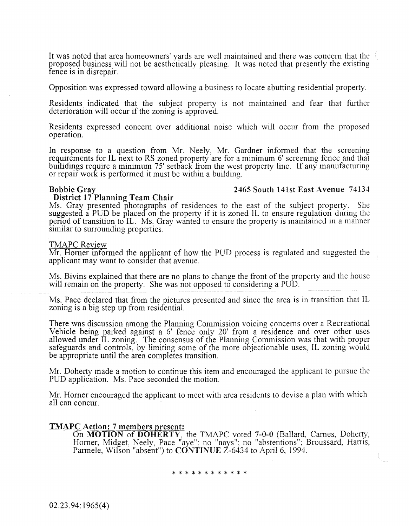It was noted that area homeowners' yards are well maintained and there was concern that the proposed business will not be aesthetically pleasing. It was noted that presently the existing fence is in disrepair.

Opposition was expressed toward allowing a business to locate abutting residential property.

Residents indicated that the subject property is not maintained and fear that further deterioration will occur if the zoning is approved.

Residents expressed concern over additional noise which will occur from the proposed operation.

In response to a question from Mr. Neely, Mr. Gardner informed that the screening requirements for IL next to RS zoned property are for a minimum 6' screening fence and that builidings require a minimum 75' setback from the west property line. If any manufacturing or repair work is petformed it must be within a building.

### Bobbie Gray 2465 South 14lst East Avenue 74134

District 17 Planning Team Chair

Ms. Gray presented photographs of residences to the east of the subject property. She suggested a PUD be placed on the property if it is zoned IL to ensure regulation during the period of transition to IL. Ms. Gray wanted to ensure the property is maintained in a manner similar to surrounding properties.

### TMAPC Review

Mr. Homer informed the applicant of how the PUD process is regulated and suggested the applicant may want to consider that avenue.

Ms. Bivins explained that there are no plans to change the front of the property and the house will remain on the property. She was not opposed to considering a PUD.

Ms. Pace declared that from the pictures presented and since the area is in transition that IL zoning is a big step up from residential.

There was discussion among the Planning Commission voicing concerns over a Recreational Vehicle being parked against a 6' fence only 20' from a residence and over other uses allowed under IL zoning. The consensus of the Planning Commission was that with proper safeguards and controls, by limiting some of the more objectionable uses, IL zoning would be appropriate until the area completes transition.

Mr. Doherty made a motion to continue this item and encouraged the applicant to pursue the PUD application. Ms. Pace seconded the motion.

Mr. Homer encouraged the applicant to meet with area residents to devise a plan with which all can concur.

### TMAPC Action; 7 members present:

On MOTION of DOHERTY, the TMAPC voted 7-0-0 (Ballard, Carnes, Doherty, Horner, Midget, Neely, Pace "aye"; no "nays"; no "abstentions"; Broussard, Harris, Parmele, Wilson "absent") to **CONTINUE**  $\bar{Z}$ -6434 to April 6, 1994.

\* \* \* \* \* \* \* \* \* \* \* \*

02.23.94: 1965(4)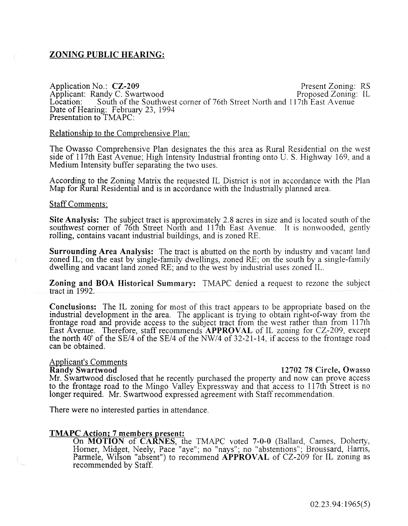### ZONING PUBLIC HEARING:

Application No.: CZ-209<br>
Applicant: Randy C. Swartwood<br>
Proposed Zoning: IL<br>
Proposed Zoning: IL Applicant: Randy C. Swartwood<br>Location: South of the Southw South of the Southwest corner of 76th Street North and 117th East Avenue Date of Hearing: February 23, 1994 Presentation to TMAPC:

### Relationship to the Comprehensive Plan:

The Owasso Comprehensive Plan designates the this area as Rural Residential on the west side of 117th East Avenue; High Intensity Industrial fronting onto U. S. Highway 169, and a Medium Intensity buffer separating the two uses.

According to the Zoning Matrix the requested IL District is not in accordance with the Plan Map for Rural Residential and is in accordance with the Industrially planned area.

### Staff Comments:

Site Analysis: The subject tract is approximately 2. 8 acres in size and is located south of the southwest corner of 76th Street North and 117th East Avenue. It is nonwooded, gently rolling, contains vacant industrial buildings, and is zoned RE.

Surrounding Area Analysis: The tract is abutted on the north by industry and vacant land zoned IL; on the east by single-family dwellings, zoned RE; on the south by a single-family dwelling and vacant land zoned RE; and to the west by industrial uses zoned IL.

Zoning and BOA Historical Summary: TMAPC denied a request to rezone the subject tract in 1992.

Conclusions: The IL zoning for most of this tract appears to be appropriate based on the industrial development in the area. The applicant is trying to obtain right-of-way from the frontage road and provide access to the subject tract from the west rather than from I 17th East Avenue. Therefore, staff recommends APPROVAL of IL zoning for CZ-209, except the north 40' of the SE/4 of the SE/4 of the NW/4 of 32-21-14, if access to the frontage road can be obtained.

# Applicant's Comments

### Randy Swartwood 12702 78 Circle, Owasso

Mr. Swartwood disclosed that he recently purchased the property and now can prove access to the frontage road to the Mingo Valley Expressway and that access to I 17th Street is no longer required. Mr. Swartwood expressed agreement with Staff recommendation.

There were no interested parties in attendance.

### TMAPC Action; 7 members present:

On MOTION of CARNES, the TMAPC voted 7-0-0 (Ballard, Carnes, Doherty, Horner, Midget, Neely, Pace "aye"; no "nays"; no "abstentions"; Broussard, Harris, Parmele, Wilson "absent") to recommend APPROVAL of CZ-209 for IL zoning as recommended by Staff.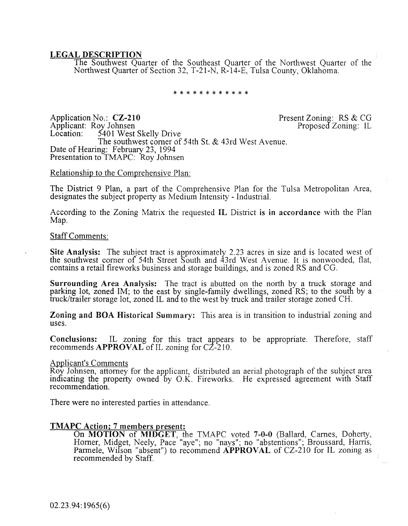### LEGAL DESCRIPTION

The Southwest Quarter of the Southeast Quarter of the Northwest Quarter of the Northwest Quarter of Section 32, T -21-N, R-14-E, Tulsa County, Oklahoma.

\* \* \* \* \* \* \* \* \* \* \* \*

Application No.: CZ-210 Applicant: Roy Johnsen<br>Location: 5401 West 5401 West Skelly Drive The southwest corner of 54th St. & 43rd West Avenue. Date of Hearing: February 23, 1994 Presentation to TMAPC: Roy Johnsen

Present Zoning: RS & CG Proposed Zoning: IL

Relationship to the Comprehensive Plan:

The District 9 Plan, a part of the Comprehensive Plan for the Tulsa Metropolitan Area, designates the subject property as Medium Intensity - Industrial.

According to the Zoning Matrix the requested IL District is in accordance with the Plan Map.

### Staff Comments:.

Site Analysis: The subject tract is approximately 2.23 acres in size and is located west of the southwest comer of' 54th Street South and 43rd West Avenue. It is nonwooded, flat, contains a retail fireworks business and storage buildings, and is zoned RS and CG.

Surrounding Area Analysis: The tract is abutted on the north by a truck storage and parking lot, zoned IM; to the east by single-family dwellings, zoned RS; to the south by a truck/trailer storage lot, zoned IL and to the west by truck and trailer storage zoned CH.

**Zoning and BOA Historical Summary:** This area is in transition to industrial zoning and uses.

**Conclusions:** IL zoning for this tract appears to be appropriate. Therefore, staff recommends  ${\bf APPROVAL}$  of IL zoning for CZ-210.

### Applicant's Comments

Roy Johnsen, attorney for the applicant, distributed an aerial photograph of the subject area indicating the property owned by O.K. Fireworks. He expressed agreement with Staff recommendation.

There were no interested parties in attendance.

### TMAPC Action; 7 members present:

On MOTION of MIDGET, the TMAPC voted 7-0-0 (Ballard, Carnes, Doherty, Horner, Midget, Neely, Pace "aye"; no "nays"; no "abstentions"; Broussard, Harris, Parmele, Wilson "absent") to recommend APPROVAL of CZ-210 for IL zoning as recommended by Staff.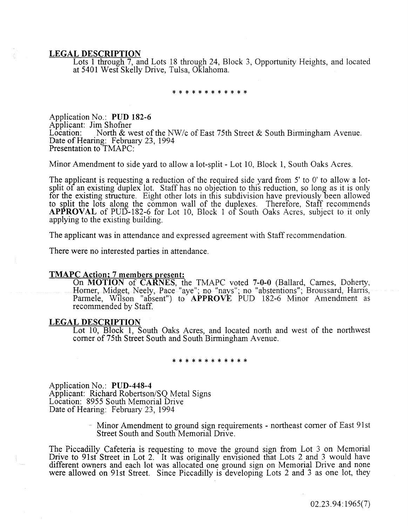### LEGAL DESCRIPTION

Lots 1 through 7, and Lots 18 through 24, Block 3, Opportunity Heights, and located at 5401 West Skelly Drive, Tulsa, Oklahoma.

\* \* \* \* \* \* \* \* \* \* \* \*

Application No.: PUD 182-6 Applicant: Jim Shofner Location: North & west of the NW/c of East 75th Street & South Birmingham Avenue. Date of Hearing: February 23, 1994 Presentation to TMAPC:

Minor Amendment to side yard to allow a lot-split- Lot 10, Block 1, South Oaks Acres.

The applicant is requesting a reduction of the required side yard from 5' to 0' to allow a lotsplit of an existing duplex lot. Staff has no objection to this reduction, so long as it is only for the existing structure. Eight other lots in this subdivision have previously been allowed to split the lots along the common wall of the duplexes. Therefore, Staff recommends APPROVAL of PUD-182-6 for Lot 10, Block 1 of South Oaks Acres, subject to it only applying to the existing building.

The applicant was in attendance and expressed agreement with Staff recommendation.

There were no interested parties in attendance.

### TMAPC Action; 7 members present:

On MOTION of CARNES, the TMAPC voted 7-0-0 (Ballard, Carnes, Doherty, Horner, Midget, Neely, Pace "aye"; no "nays"; no "abstentions"; Broussard, Harris, Parmele, Wilson "absent") to APPROVE PUD 182-6 Minor Amendment as recommended by Staff.

### LEGAL DESCRIPTION

Lot 10, Block 1, South Oaks Acres, and located north and west of the northwest comer of 75th Street South and South Birmingham Avenue.

\* \* \* \* \* \* \* \* \* \* \* \*

Application No.: PUD-448-4 Applicant: Richard Robertson/SQ Metal Signs Location: 8955 South Memorial Drive Date of Hearing: February 23, 1994

> Minor Amendment to ground sign requirements - northeast corner of East 91st Street South and South Memorial Drive.

The Piccadilly Cafeteria is requesting to move the ground sign from Lot 3 on Memoriai Drive to 91st Street in Lot 2. It was originally envisioned that Lots 2 and 3 would have different owners and each lot was allocated one ground sign on Memorial Drive and none were allowed on 91st Street. Since Piccadilly is developing Lots 2 and 3 as one lot, they

02.23.94: 1965(7)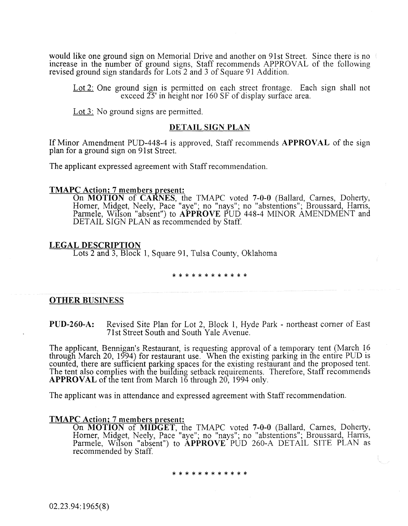would like one ground sign on Memorial Drive and another on 9lst Street. Since there is no increase in the number of ground signs, Staff recommends APPROVAL of the following revised ground sign standards for Lots 2 and 3 of Square 91 Addition.

Lot 2: One ground sign is permitted on each street frontage. Each sign shall not exceed 25' in height nor 160 SF of display surface area.

Lot 3: No ground signs are permitted.

### DETAIL SIGN PLAN

If Minor Amendment PUD-448-4 is approved, Staff recommends APPROVAL of the sign plan for a ground sign on 91st Street.

The applicant expressed agreement with Staff recommendation.

# TMAPC Action; 7 members present:

On MOTION of CARNES, the TMAPC voted 7-0-0 (Ballard, Carnes, Doheriy, Horner, Midget, Neely, Pace "aye", no "nays"; no "abstentions"; Broussard, Harris, Parmele, Wilson "absent") to APPROVE PUD 448-4 MINOR AMENDMENT and DETAIL SIGN PLAN as recommended by Staff.

### LEGAL DESCRIPTION

Lots 2 and 3, Block 1, Square 91, Tulsa County, Oklahoma

### \* \* \* \* \* \* \* \* \* \*

### OTHER BUSINESS

PUD-260-A: Revised Site Plan for Lot 2, Block 1, Hyde Park - northeast corner of East 71st Street South and South Yale Avenue.

The applicant, Bennigan's Restaurant, is requesting approval of a temporary tent (March 16 through March 20, 1994) for restaurant use. When the existing parking in the entire PUD is counted, there are sufficient parking spaces for the existing restaurant and the proposed tent. The tem also complies while the bunding setback requirements. Therefore, Start recommends<br>**APPROVAL** of the tent from March 16 through 20, 1994 only

The applicant was in attendance and expressed agreement with Staff recommendation.

### TMAPC Action; 7 members present:

On MOTION of MIDGET, the TMAPC voted 7-0-0 (Ballard, Carnes, Doherty, Horner, Midget, Neely, Pace "aye"; no "nays"; no "abstentions"; Broussard, Harris, Parmele, Wilson "absent") to APPROVE PUD 260-A DETAIL SITE PLAN as recommended by Staff.

\* \* \* \* \* \* \* \* \* \* \* \*

02.23.94: 1965(8)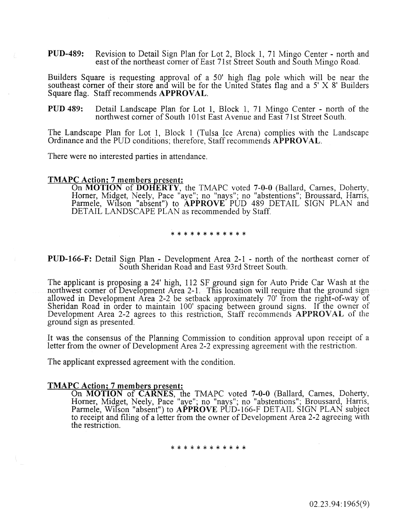PUD-489: Revision to Detail Sign Plan for Lot 2, Block 1, 71 Mingo Center- north and east of the northeast comer of East 71st Street South and South Mingo Road.

Builders Square is requesting approval of a 50' high flag pole which will be near the southeast corner of their store and will be for the United States flag and a  $5'$  X  $8'$  Builders Square flag. Staff recommends APPROVAL.

PUD 489; Detail Landscape Plan for Lot 1, Block 1, 71 Mingo Center - north of the northwest comer of South 101st East Avenue and East 7lst Street South.

The Landscape Plan for Lot 1, Block 1 (Tulsa Ice Arena) complies with the Landscape Ordinance and the PUD conditions; therefore, Staff recommends APPROVAL.

There were no interested parties in attendance.

### **TMAPC Action; 7 members present:**

On MOTION of DOHERTY, the TMAPC voted 7-0-0 (Ballard, Carnes, Doherty, Horner, Midget, Neely, Pace "aye"; no "nays"; no "abstentions"; Broussard, Harris, Parmele, Wilson "absent") to APPROVE PUD 489 DETAIL SIGN PLAN and DETAIL LANDSCAPE PLAN as recommended by Staff.

\* \* \* \* \* \* \* \* \* \* \* \*

PUD-166-F: Detail Sign Plan - Development Area 2-1 - north of the northeast comer of South Sheridan Road and East 93rd Street South.

The applicant is proposing a 24' high, 112 SF ground sign for Auto Pride Car Wash at the northwest corner of Development Area 2-1. This location will require that the ground sign allowed in Development Area 2-2 be setback approximately 70' from the right-of-way of Sheridan Road in order to maintain 100' spacing between ground signs. If the owner of Development Area 2-2 agrees to this restriction, Staff recommends APPROVAL of the ground sign as presented.

It was the consensus of the Planning Commission to condition approval upon receipt of a letter from the owner of Development Area 2-2 expressing agreement with the restriction.

The applicant expressed agreement with the condition.

### **TMAPC Action; 7 members present:**

On MOTION of CARNES, the TMAPC voted 7-0-0 (Ballard, Carnes, Doherty, Homer, Midget, Neely, Pace "aye"; no "nays"; no "abstentions"; Broussard, Harris, Parmele, Wilson "absent") to APPROVE PUD-166-F DETAIL SIGN PLAN subject to receipt and filing of a letter from the owner of Development Area 2-2 agreeing with the restriction.

\* \* \* \* \* \* \* \* \* \* \* \*